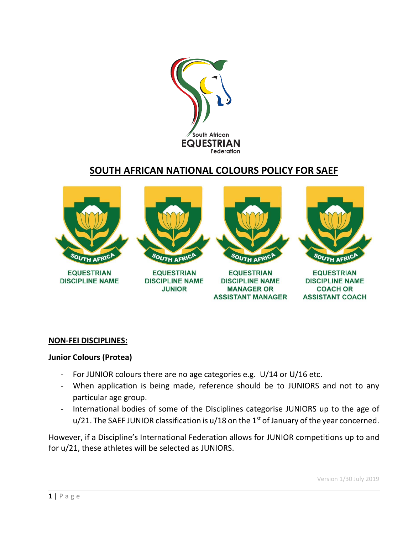

## **SOUTH AFRICAN NATIONAL COLOURS POLICY FOR SAEF**



#### **NON-FEI DISCIPLINES:**

#### **Junior Colours (Protea)**

- For JUNIOR colours there are no age categories e.g. U/14 or U/16 etc.
- When application is being made, reference should be to JUNIORS and not to any particular age group.
- International bodies of some of the Disciplines categorise JUNIORS up to the age of  $u/21$ . The SAEF JUNIOR classification is  $u/18$  on the 1<sup>st</sup> of January of the year concerned.

However, if a Discipline's International Federation allows for JUNIOR competitions up to and for u/21, these athletes will be selected as JUNIORS.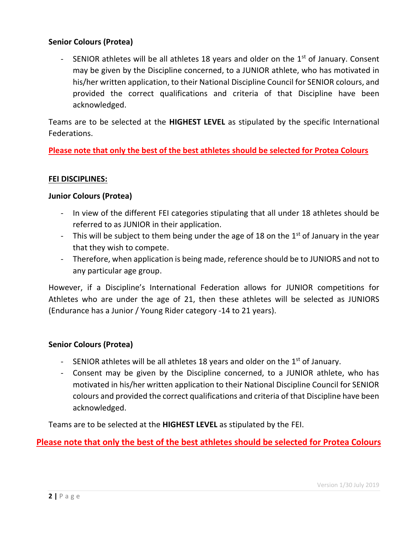### **Senior Colours (Protea)**

- SENIOR athletes will be all athletes 18 years and older on the  $1<sup>st</sup>$  of January. Consent may be given by the Discipline concerned, to a JUNIOR athlete, who has motivated in his/her written application, to their National Discipline Council for SENIOR colours, and provided the correct qualifications and criteria of that Discipline have been acknowledged.

Teams are to be selected at the **HIGHEST LEVEL** as stipulated by the specific International Federations.

**Please note that only the best of the best athletes should be selected for Protea Colours**

#### **FEI DISCIPLINES:**

#### **Junior Colours (Protea)**

- In view of the different FEI categories stipulating that all under 18 athletes should be referred to as JUNIOR in their application.
- This will be subject to them being under the age of 18 on the  $1<sup>st</sup>$  of January in the year that they wish to compete.
- Therefore, when application is being made, reference should be to JUNIORS and not to any particular age group.

However, if a Discipline's International Federation allows for JUNIOR competitions for Athletes who are under the age of 21, then these athletes will be selected as JUNIORS (Endurance has a Junior / Young Rider category -14 to 21 years).

### **Senior Colours (Protea)**

- SENIOR athletes will be all athletes 18 years and older on the  $1<sup>st</sup>$  of January.
- Consent may be given by the Discipline concerned, to a JUNIOR athlete, who has motivated in his/her written application to their National Discipline Council for SENIOR colours and provided the correct qualifications and criteria of that Discipline have been acknowledged.

Teams are to be selected at the **HIGHEST LEVEL** as stipulated by the FEI.

**Please note that only the best of the best athletes should be selected for Protea Colours**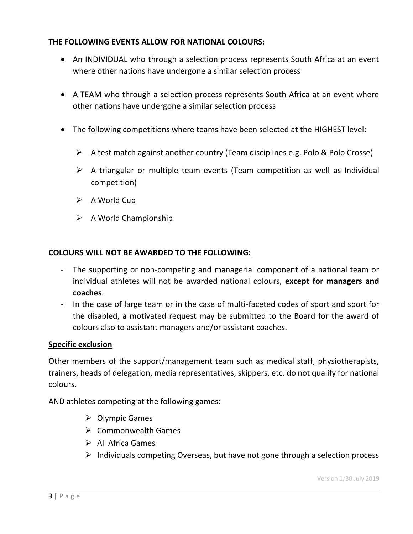## **THE FOLLOWING EVENTS ALLOW FOR NATIONAL COLOURS:**

- An INDIVIDUAL who through a selection process represents South Africa at an event where other nations have undergone a similar selection process
- A TEAM who through a selection process represents South Africa at an event where other nations have undergone a similar selection process
- The following competitions where teams have been selected at the HIGHEST level:
	- $\triangleright$  A test match against another country (Team disciplines e.g. Polo & Polo Crosse)
	- $\triangleright$  A triangular or multiple team events (Team competition as well as Individual competition)
	- $\triangleright$  A World Cup
	- $\triangleright$  A World Championship

#### **COLOURS WILL NOT BE AWARDED TO THE FOLLOWING:**

- The supporting or non-competing and managerial component of a national team or individual athletes will not be awarded national colours, **except for managers and coaches**.
- In the case of large team or in the case of multi-faceted codes of sport and sport for the disabled, a motivated request may be submitted to the Board for the award of colours also to assistant managers and/or assistant coaches.

#### **Specific exclusion**

Other members of the support/management team such as medical staff, physiotherapists, trainers, heads of delegation, media representatives, skippers, etc. do not qualify for national colours.

AND athletes competing at the following games:

- $\triangleright$  Olympic Games
- $\triangleright$  Commonwealth Games
- $\triangleright$  All Africa Games
- $\triangleright$  Individuals competing Overseas, but have not gone through a selection process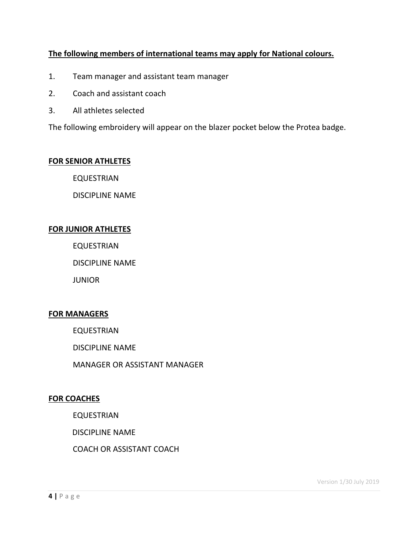## **The following members of international teams may apply for National colours.**

- 1. Team manager and assistant team manager
- 2. Coach and assistant coach
- 3. All athletes selected

The following embroidery will appear on the blazer pocket below the Protea badge.

#### **FOR SENIOR ATHLETES**

EQUESTRIAN

DISCIPLINE NAME

#### **FOR JUNIOR ATHLETES**

EQUESTRIAN

DISCIPLINE NAME

**JUNIOR** 

### **FOR MANAGERS**

EQUESTRIAN

DISCIPLINE NAME

MANAGER OR ASSISTANT MANAGER

#### **FOR COACHES**

EQUESTRIAN

DISCIPLINE NAME

COACH OR ASSISTANT COACH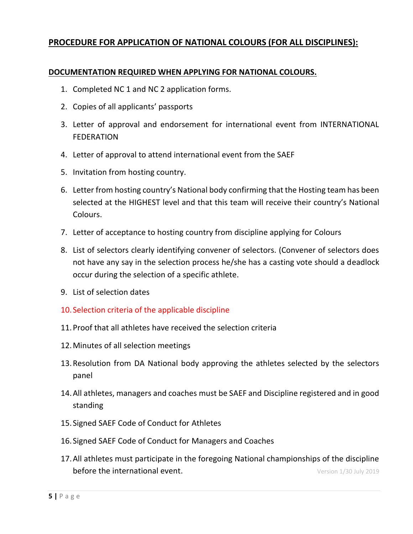## **PROCEDURE FOR APPLICATION OF NATIONAL COLOURS (FOR ALL DISCIPLINES):**

#### **DOCUMENTATION REQUIRED WHEN APPLYING FOR NATIONAL COLOURS.**

- 1. Completed NC 1 and NC 2 application forms.
- 2. Copies of all applicants' passports
- 3. Letter of approval and endorsement for international event from INTERNATIONAL FEDERATION
- 4. Letter of approval to attend international event from the SAEF
- 5. Invitation from hosting country.
- 6. Letter from hosting country's National body confirming that the Hosting team has been selected at the HIGHEST level and that this team will receive their country's National Colours.
- 7. Letter of acceptance to hosting country from discipline applying for Colours
- 8. List of selectors clearly identifying convener of selectors. (Convener of selectors does not have any say in the selection process he/she has a casting vote should a deadlock occur during the selection of a specific athlete.
- 9. List of selection dates
- 10. Selection criteria of the applicable discipline
- 11.Proof that all athletes have received the selection criteria
- 12.Minutes of all selection meetings
- 13.Resolution from DA National body approving the athletes selected by the selectors panel
- 14.All athletes, managers and coaches must be SAEF and Discipline registered and in good standing
- 15. Signed SAEF Code of Conduct for Athletes
- 16. Signed SAEF Code of Conduct for Managers and Coaches
- 17.All athletes must participate in the foregoing National championships of the discipline **before the international event. Conserverse in the international event.** Version 1/30 July 2019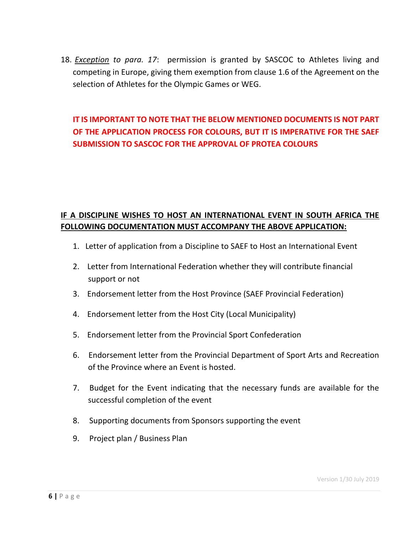18. *Exception to para. 17*: permission is granted by SASCOC to Athletes living and competing in Europe, giving them exemption from clause 1.6 of the Agreement on the selection of Athletes for the Olympic Games or WEG.

## **IT IS IMPORTANT TO NOTE THAT THE BELOW MENTIONED DOCUMENTS IS NOT PART OF THE APPLICATION PROCESS FOR COLOURS, BUT IT IS IMPERATIVE FOR THE SAEF SUBMISSION TO SASCOC FOR THE APPROVAL OF PROTEA COLOURS**

## **IF A DISCIPLINE WISHES TO HOST AN INTERNATIONAL EVENT IN SOUTH AFRICA THE FOLLOWING DOCUMENTATION MUST ACCOMPANY THE ABOVE APPLICATION:**

- 1. Letter of application from a Discipline to SAEF to Host an International Event
- 2. Letter from International Federation whether they will contribute financial support or not
- 3. Endorsement letter from the Host Province (SAEF Provincial Federation)
- 4. Endorsement letter from the Host City (Local Municipality)
- 5. Endorsement letter from the Provincial Sport Confederation
- 6. Endorsement letter from the Provincial Department of Sport Arts and Recreation of the Province where an Event is hosted.
- 7. Budget for the Event indicating that the necessary funds are available for the successful completion of the event
- 8. Supporting documents from Sponsors supporting the event
- 9. Project plan / Business Plan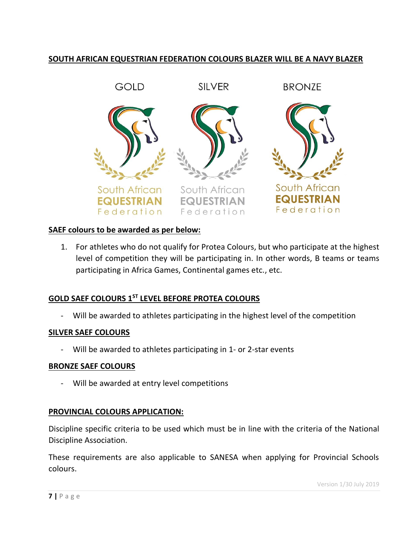## **SOUTH AFRICAN EQUESTRIAN FEDERATION COLOURS BLAZER WILL BE A NAVY BLAZER**



#### **SAEF colours to be awarded as per below:**

1. For athletes who do not qualify for Protea Colours, but who participate at the highest level of competition they will be participating in. In other words, B teams or teams participating in Africa Games, Continental games etc., etc.

#### **GOLD SAEF COLOURS 1ST LEVEL BEFORE PROTEA COLOURS**

Will be awarded to athletes participating in the highest level of the competition

#### **SILVER SAEF COLOURS**

- Will be awarded to athletes participating in 1- or 2-star events

#### **BRONZE SAEF COLOURS**

- Will be awarded at entry level competitions

#### **PROVINCIAL COLOURS APPLICATION:**

Discipline specific criteria to be used which must be in line with the criteria of the National Discipline Association.

These requirements are also applicable to SANESA when applying for Provincial Schools colours.